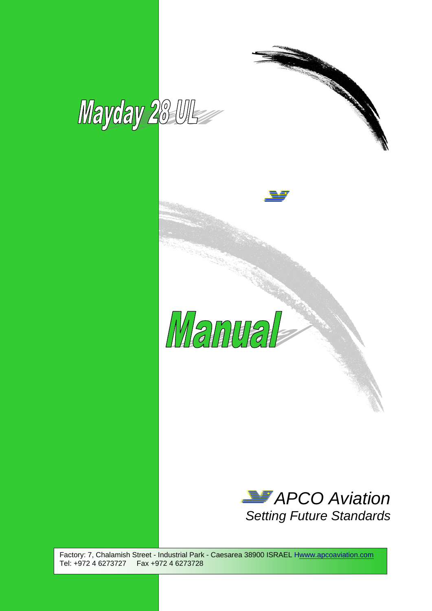





Factory: 7, Chalamish Street - Industrial Park - Caesarea 38900 ISRAEL Hwww.apcoaviation.com Tel: +972 4 6273727 Fax +972 4 6273728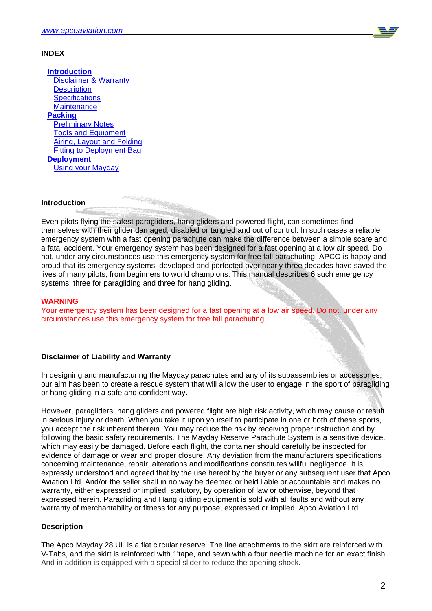

# **INDEX**

 **Introduction Disclaimer & Warranty** Description **Specifications Maintenance Packing** Preliminary Notes Tools and Equipment Airing, Layout and Folding **Fitting to Deployment Bag Deployment** Using your Mayday

## **Introduction**

Even pilots flying the safest paragliders, hang gliders and powered flight, can sometimes find themselves with their glider damaged, disabled or tangled and out of control. In such cases a reliable emergency system with a fast opening parachute can make the difference between a simple scare and a fatal accident. Your emergency system has been designed for a fast opening at a low air speed. Do not, under any circumstances use this emergency system for free fall parachuting. APCO is happy and proud that its emergency systems, developed and perfected over nearly three decades have saved the lives of many pilots, from beginners to world champions. This manual describes 6 such emergency systems: three for paragliding and three for hang gliding.

# **WARNING**

Your emergency system has been designed for a fast opening at a low air speed. Do not, under any circumstances use this emergency system for free fall parachuting.

## **Disclaimer of Liability and Warranty**

In designing and manufacturing the Mayday parachutes and any of its subassemblies or accessories, our aim has been to create a rescue system that will allow the user to engage in the sport of paragliding or hang gliding in a safe and confident way.

However, paragliders, hang gliders and powered flight are high risk activity, which may cause or result in serious injury or death. When you take it upon yourself to participate in one or both of these sports, you accept the risk inherent therein. You may reduce the risk by receiving proper instruction and by following the basic safety requirements. The Mayday Reserve Parachute System is a sensitive device, which may easily be damaged. Before each flight, the container should carefully be inspected for evidence of damage or wear and proper closure. Any deviation from the manufacturers specifications concerning maintenance, repair, alterations and modifications constitutes willful negligence. It is expressly understood and agreed that by the use hereof by the buyer or any subsequent user that Apco Aviation Ltd. And/or the seller shall in no way be deemed or held liable or accountable and makes no warranty, either expressed or implied, statutory, by operation of law or otherwise, beyond that expressed herein. Paragliding and Hang gliding equipment is sold with all faults and without any warranty of merchantability or fitness for any purpose, expressed or implied. Apco Aviation Ltd.

# **Description**

The Apco Mayday 28 UL is a flat circular reserve. The line attachments to the skirt are reinforced with V-Tabs, and the skirt is reinforced with 1'tape, and sewn with a four needle machine for an exact finish. And in addition is equipped with a special slider to reduce the opening shock.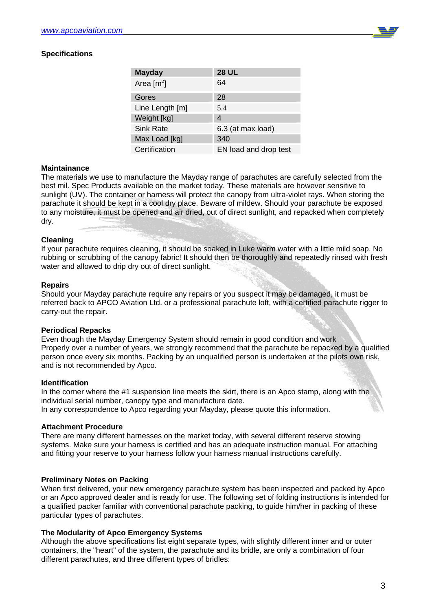

# **Specifications**

| <b>Mayday</b>            | <b>28 UL</b>          |
|--------------------------|-----------------------|
| Area $\lceil m^2 \rceil$ | 64                    |
| Gores                    | 28                    |
| Line Length [m]          | 5.4                   |
| Weight [kg]              | 4                     |
| <b>Sink Rate</b>         | 6.3 (at max load)     |
| Max Load [kg]            | 340                   |
| Certification            | EN load and drop test |

## **Maintainance**

The materials we use to manufacture the Mayday range of parachutes are carefully selected from the best mil. Spec Products available on the market today. These materials are however sensitive to sunlight (UV). The container or harness will protect the canopy from ultra-violet rays. When storing the parachute it should be kept in a cool dry place. Beware of mildew. Should your parachute be exposed to any moisture, it must be opened and air dried, out of direct sunlight, and repacked when completely dry.

## **Cleaning**

If your parachute requires cleaning, it should be soaked in Luke warm water with a little mild soap. No rubbing or scrubbing of the canopy fabric! It should then be thoroughly and repeatedly rinsed with fresh water and allowed to drip dry out of direct sunlight.

## **Repairs**

Should your Mayday parachute require any repairs or you suspect it may be damaged, it must be referred back to APCO Aviation Ltd. or a professional parachute loft, with a certified parachute rigger to carry-out the repair.

#### **Periodical Repacks**

Even though the Mayday Emergency System should remain in good condition and work Properly over a number of years, we strongly recommend that the parachute be repacked by a qualified person once every six months. Packing by an unqualified person is undertaken at the pilots own risk, and is not recommended by Apco.

#### **Identification**

In the corner where the #1 suspension line meets the skirt, there is an Apco stamp, along with the individual serial number, canopy type and manufacture date. In any correspondence to Apco regarding your Mayday, please quote this information.

#### **Attachment Procedure**

There are many different harnesses on the market today, with several different reserve stowing systems. Make sure your harness is certified and has an adequate instruction manual. For attaching and fitting your reserve to your harness follow your harness manual instructions carefully.

## **Preliminary Notes on Packing**

When first delivered, your new emergency parachute system has been inspected and packed by Apco or an Apco approved dealer and is ready for use. The following set of folding instructions is intended for a qualified packer familiar with conventional parachute packing, to guide him/her in packing of these particular types of parachutes.

## **The Modularity of Apco Emergency Systems**

Although the above specifications list eight separate types, with slightly different inner and or outer containers, the "heart" of the system, the parachute and its bridle, are only a combination of four different parachutes, and three different types of bridles: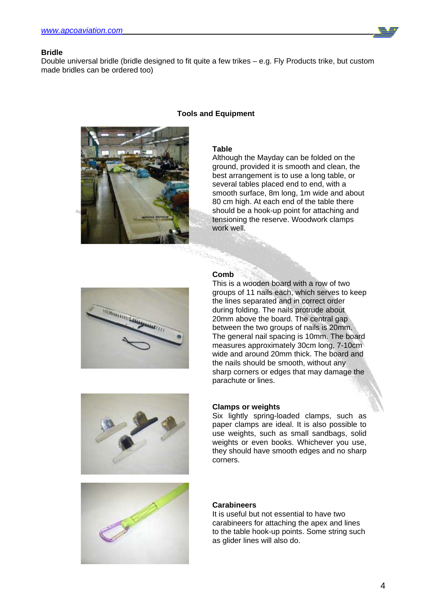

## **Bridle**

Double universal bridle (bridle designed to fit quite a few trikes – e.g. Fly Products trike, but custom made bridles can be ordered too)



# **Tools and Equipment**

## **Table**

Although the Mayday can be folded on the ground, provided it is smooth and clean, the best arrangement is to use a long table, or several tables placed end to end, with a smooth surface, 8m long, 1m wide and about 80 cm high. At each end of the table there should be a hook-up point for attaching and tensioning the reserve. Woodwork clamps work well.



# **Comb**

This is a wooden board with a row of two groups of 11 nails each, which serves to keep the lines separated and in correct order during folding. The nails protrude about 20mm above the board. The central gap between the two groups of nails is 20mm. The general nail spacing is 10mm. The board measures approximately 30cm long, 7-10cm wide and around 20mm thick. The board and the nails should be smooth, without any sharp corners or edges that may damage the parachute or lines.



## **Clamps or weights**

Six lightly spring-loaded clamps, such as paper clamps are ideal. It is also possible to use weights, such as small sandbags, solid weights or even books. Whichever you use, they should have smooth edges and no sharp corners.



## **Carabineers**

It is useful but not essential to have two carabineers for attaching the apex and lines to the table hook-up points. Some string such as glider lines will also do.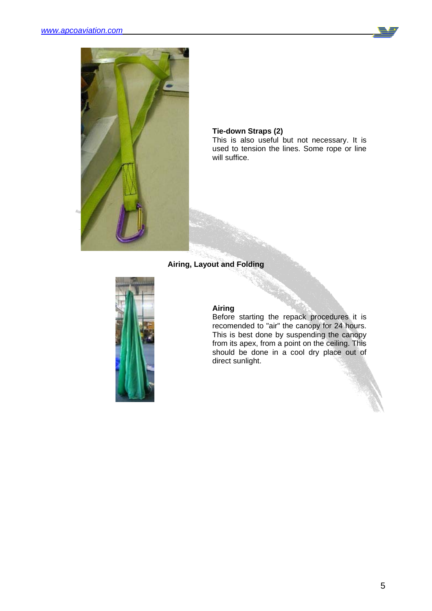



## **Tie-down Straps (2)**

This is also useful but not necessary. It is used to tension the lines. Some rope or line will suffice.

# **Airing, Layout and Folding**



## **Airing**

Before starting the repack procedures it is recomended to "air" the canopy for 24 hours. This is best done by suspending the canopy from its apex, from a point on the ceiling. This should be done in a cool dry place out of direct sunlight.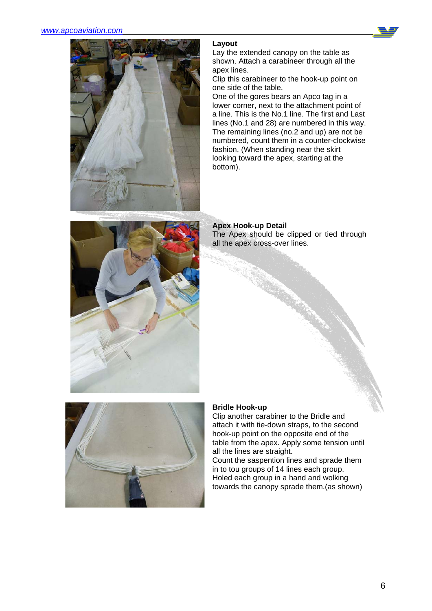

# **Layout**

Lay the extended canopy on the table as shown. Attach a carabineer through all the apex lines.

Clip this carabineer to the hook-up point on one side of the table.

One of the gores bears an Apco tag in a lower corner, next to the attachment point of a line. This is the No.1 line. The first and Last lines (No.1 and 28) are numbered in this way. The remaining lines (no.2 and up) are not be numbered, count them in a counter-clockwise fashion, (When standing near the skirt looking toward the apex, starting at the bottom).



**Apex Hook-up Detail** The Apex should be clipped or tied through all the apex cross-over lines.



# **Bridle Hook-up**

Clip another carabiner to the Bridle and attach it with tie-down straps, to the second hook-up point on the opposite end of the table from the apex. Apply some tension until all the lines are straight.

Count the saspention lines and sprade them in to tou groups of 14 lines each group. Holed each group in a hand and wolking towards the canopy sprade them.(as shown)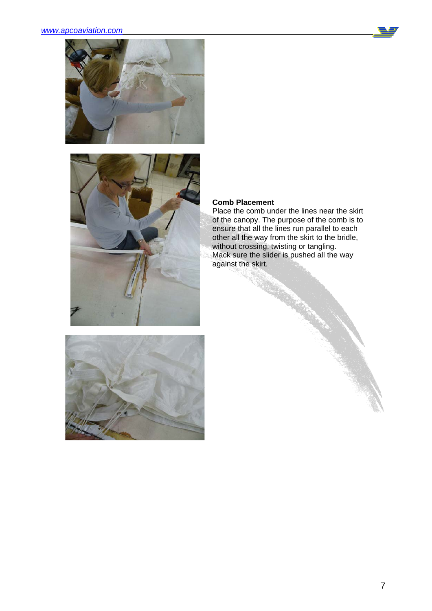





## **Comb Placement**

Place the comb under the lines near the skirt of the canopy. The purpose of the comb is to ensure that all the lines run parallel to each other all the way from the skirt to the bridle, without crossing, twisting or tangling. Mack sure the slider is pushed all the way against the skirt.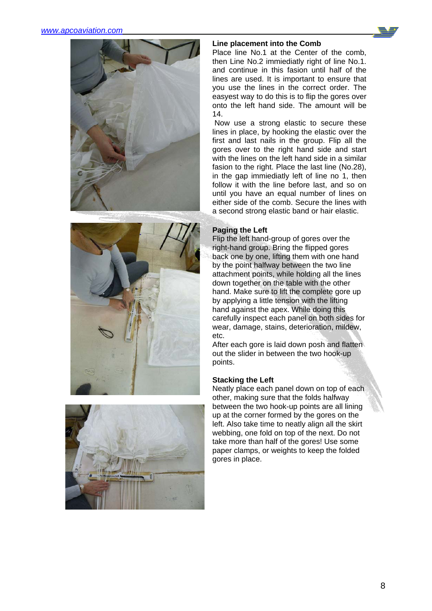







## **Line placement into the Comb**

Place line No.1 at the Center of the comb, then Line No.2 immiediatly right of line No.1. and continue in this fasion until half of the lines are used. It is important to ensure that you use the lines in the correct order. The easyest way to do this is to flip the gores over onto the left hand side. The amount will be 14.

 Now use a strong elastic to secure these lines in place, by hooking the elastic over the first and last nails in the group. Flip all the gores over to the right hand side and start with the lines on the left hand side in a similar fasion to the right. Place the last line (No.28), in the gap immiediatly left of line no 1, then follow it with the line before last, and so on until you have an equal number of lines on either side of the comb. Secure the lines with a second strong elastic band or hair elastic.

# **Paging the Left**

Flip the left hand-group of gores over the right-hand group. Bring the flipped gores back one by one, lifting them with one hand by the point halfway between the two line attachment points, while holding all the lines down together on the table with the other hand. Make sure to lift the complete gore up by applying a little tension with the lifting hand against the apex. While doing this carefully inspect each panel on both sides for wear, damage, stains, deterioration, mildew, etc.

After each gore is laid down posh and flatten out the slider in between the two hook-up points.

# **Stacking the Left**

Neatly place each panel down on top of each other, making sure that the folds halfway between the two hook-up points are all lining up at the corner formed by the gores on the left. Also take time to neatly align all the skirt webbing, one fold on top of the next. Do not take more than half of the gores! Use some paper clamps, or weights to keep the folded gores in place.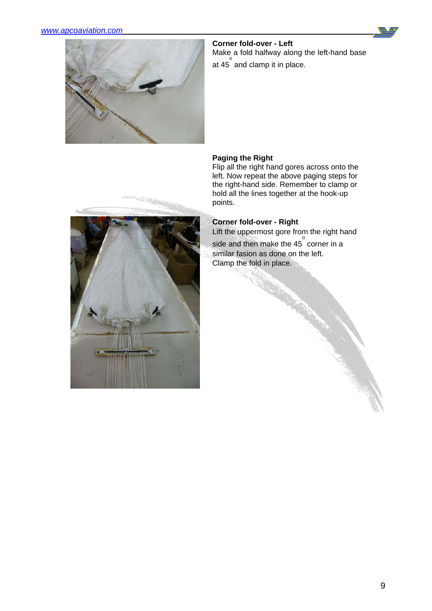



**Corner fold-over - Left**  Make a fold halfway along the left-hand base at 45<sup>°</sup> and clamp it in place.

# **Paging the Right**

Flip all the right hand gores across onto the left. Now repeat the above paging steps for the right-hand side. Remember to clamp or hold all the lines together at the hook-up points.

# **Corner fold-over - Right**

Lift the uppermost gore from the right hand side and then make the  $45^\circ$  corner in a similar fasion as done on the left. Clamp the fold in place.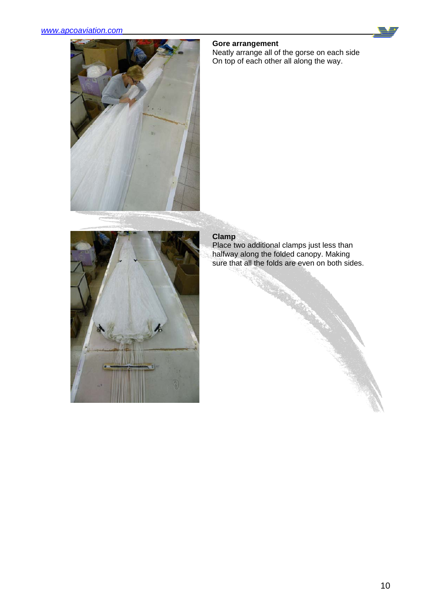

Neatly arrange all of the gorse on each side On top of each other all along the way.





# **Clamp**

Place two additional clamps just less than halfway along the folded canopy. Making sure that all the folds are even on both sides.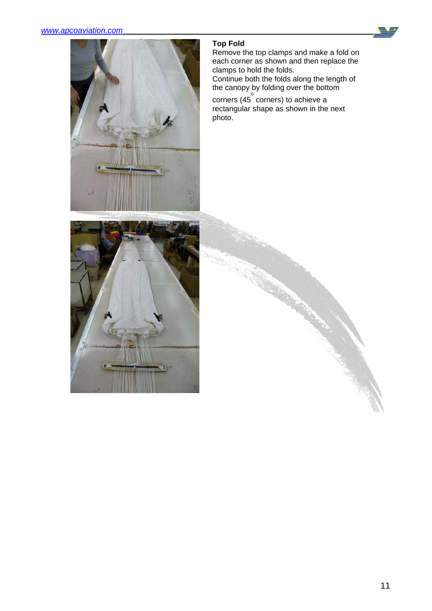

# **Top Fold**

Remove the top clamps and make a fold on each corner as shown and then replace the clamps to hold the folds.

Continue both the folds along the length of the canopy by folding over the bottom

 $\frac{1}{\sqrt{2}}$  corners) to achieve a rectangular shape as shown in the next photo.

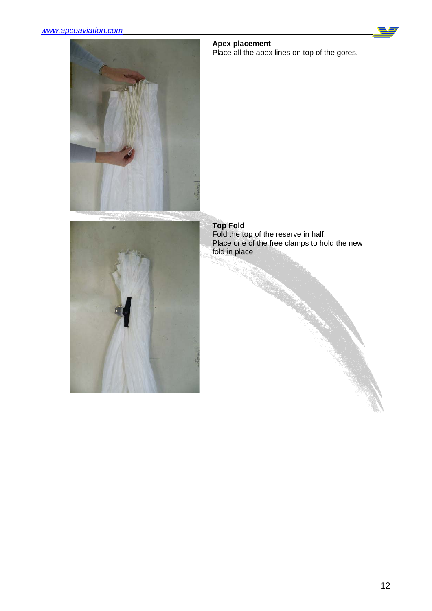



#### **Apex placement**

Place all the apex lines on top of the gores.



**Top Fold** Fold the top of the reserve in half. Place one of the free clamps to hold the new fold in place.

C. Contractor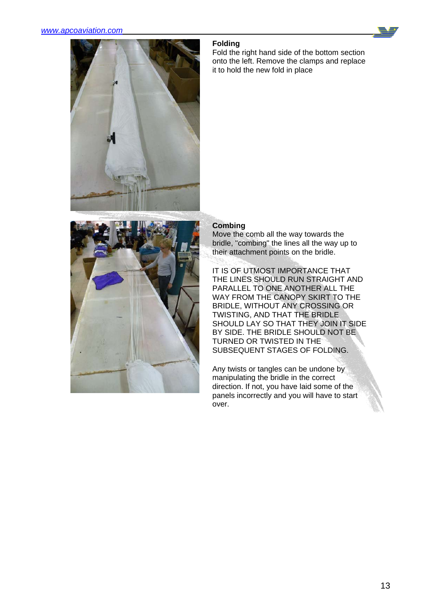

## **Folding**

Fold the right hand side of the bottom section onto the left. Remove the clamps and replace it to hold the new fold in place



# **Combing**

Move the comb all the way towards the bridle, "combing" the lines all the way up to their attachment points on the bridle.

IT IS OF UTMOST IMPORTANCE THAT THE LINES SHOULD RUN STRAIGHT AND PARALLEL TO ONE ANOTHER ALL THE WAY FROM THE CANOPY SKIRT TO THE BRIDLE, WITHOUT ANY CROSSING OR TWISTING, AND THAT THE BRIDLE SHOULD LAY SO THAT THEY JOIN IT SIDE BY SIDE. THE BRIDLE SHOULD NOT BE TURNED OR TWISTED IN THE SUBSEQUENT STAGES OF FOLDING.

Any twists or tangles can be undone by manipulating the bridle in the correct direction. If not, you have laid some of the panels incorrectly and you will have to start over.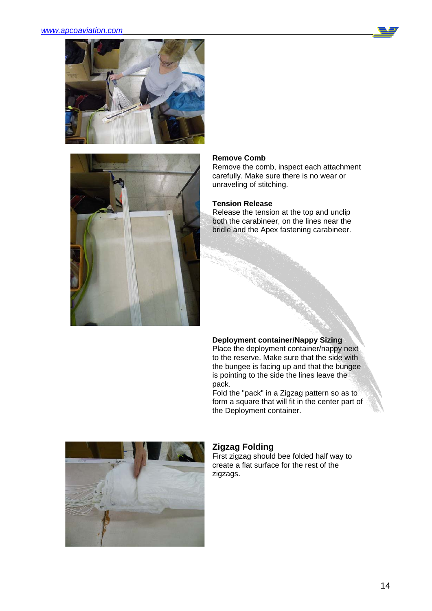



#### **Remove Comb**

Remove the comb, inspect each attachment carefully. Make sure there is no wear or unraveling of stitching.

## **Tension Release**

Release the tension at the top and unclip both the carabineer, on the lines near the bridle and the Apex fastening carabineer.

# **Deployment container/Nappy Sizing**

Place the deployment container/nappy next to the reserve. Make sure that the side with the bungee is facing up and that the bungee is pointing to the side the lines leave the pack.

Fold the "pack" in a Zigzag pattern so as to form a square that will fit in the center part of the Deployment container.



# **Zigzag Folding**

First zigzag should bee folded half way to create a flat surface for the rest of the zigzags.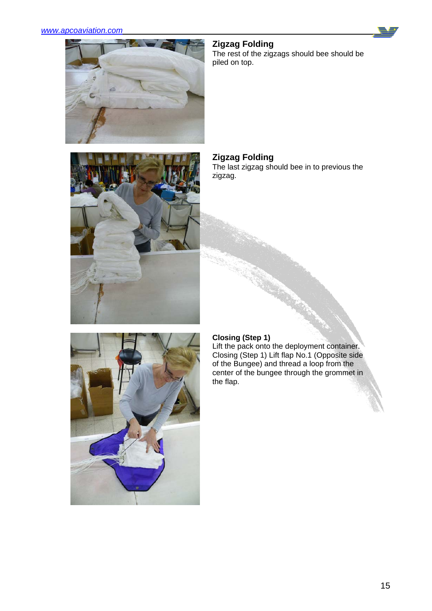# *www.apcoaviation.com*





The rest of the zigzags should bee should be piled on top.



# **Zigzag Folding**

The last zigzag should bee in to previous the zigzag.



# **Closing (Step 1)**

Lift the pack onto the deployment container. Closing (Step 1) Lift flap No.1 (Opposite side of the Bungee) and thread a loop from the center of the bungee through the grommet in the flap.

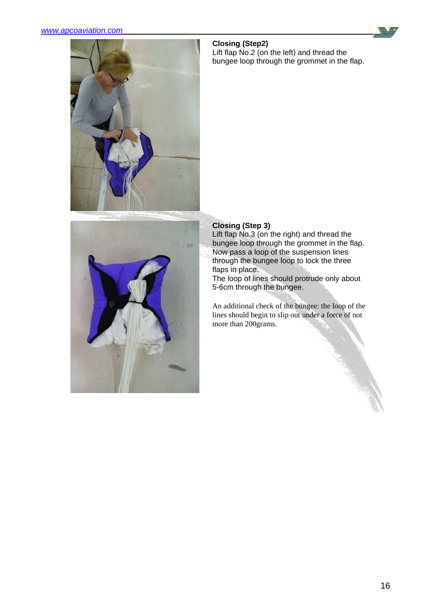## *www.apcoaviation.com*



# **Closing (Step2)**

Lift flap No.2 (on the left) and thread the bungee loop through the grommet in the flap.



# **Closing (Step 3)**

Lift flap No.3 (on the right) and thread the bungee loop through the grommet in the flap. Now pass a loop of the suspension lines through the bungee loop to lock the three flaps in place.

The loop of lines should protrude only about 5-6cm through the bungee.

An additional check of the bungee: the loop of the lines should begin to slip out under a force of not more than 200grams.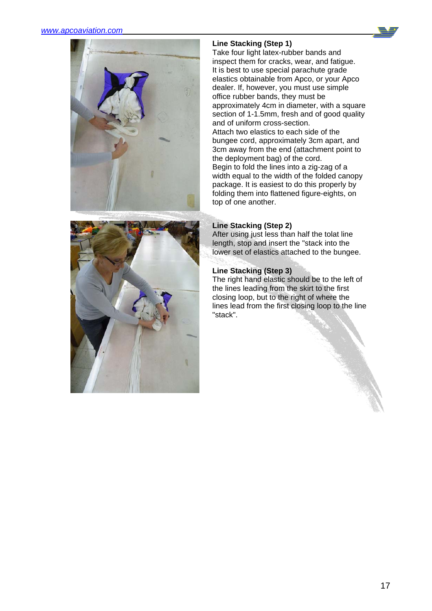



# **Line Stacking (Step 1)**

Take four light latex-rubber bands and inspect them for cracks, wear, and fatigue. It is best to use special parachute grade elastics obtainable from Apco, or your Apco dealer. If, however, you must use simple office rubber bands, they must be approximately 4cm in diameter, with a square section of 1-1.5mm, fresh and of good quality and of uniform cross-section. Attach two elastics to each side of the bungee cord, approximately 3cm apart, and 3cm away from the end (attachment point to the deployment bag) of the cord. Begin to fold the lines into a zig-zag of a width equal to the width of the folded canopy package. It is easiest to do this properly by folding them into flattened figure-eights, on top of one another.



After using just less than half the tolat line length, stop and insert the "stack into the lower set of elastics attached to the bungee.

# **Line Stacking (Step 3)**

The right hand elastic should be to the left of the lines leading from the skirt to the first closing loop, but to the right of where the lines lead from the first closing loop to the line "stack".

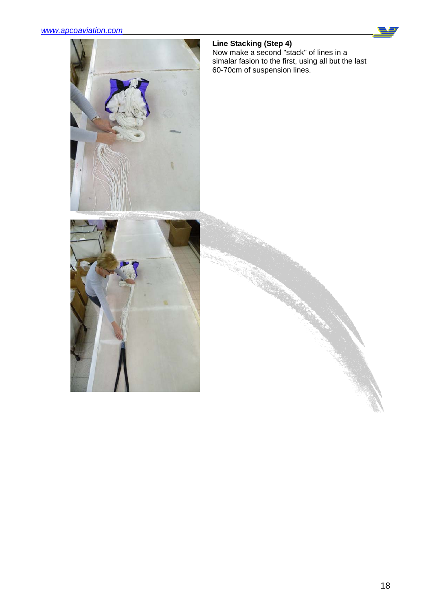

## **Line Stacking (Step 4)**

Now make a second "stack" of lines in a simalar fasion to the first, using all but the last 60-70cm of suspension lines.

REAR AN

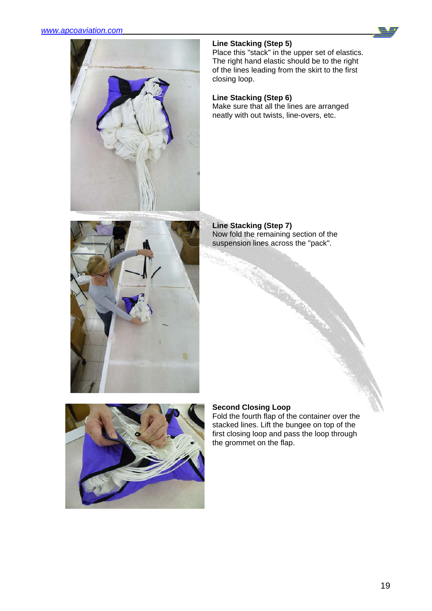

# **Line Stacking (Step 5)**

Place this "stack" in the upper set of elastics. The right hand elastic should be to the right of the lines leading from the skirt to the first closing loop.

# **Line Stacking (Step 6)**

Make sure that all the lines are arranged neatly with out twists, line-overs, etc.



**Line Stacking (Step 7)** Now fold the remaining section of the suspension lines across the "pack".



# **Second Closing Loop**

Fold the fourth flap of the container over the stacked lines. Lift the bungee on top of the first closing loop and pass the loop through the grommet on the flap.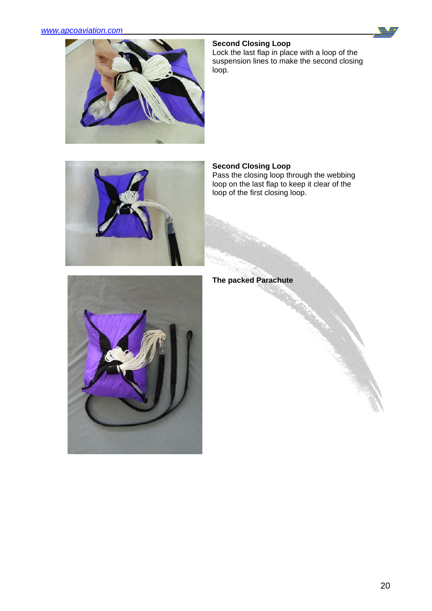## *www.apcoaviation.com*





Lock the last flap in place with a loop of the suspension lines to make the second closing loop.



## **Second Closing Loop**

Pass the closing loop through the webbing loop on the last flap to keep it clear of the loop of the first closing loop.



**The packed Parachute**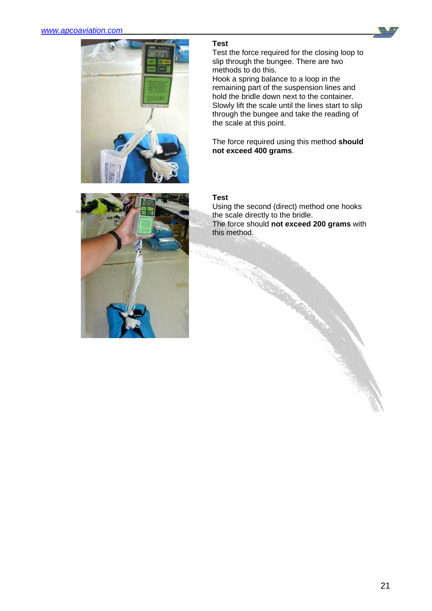

# **Test**

Test the force required for the closing loop to slip through the bungee. There are two methods to do this. Hook a spring balance to a loop in the

remaining part of the suspension lines and hold the bridle down next to the container. Slowly lift the scale until the lines start to slip through the bungee and take the reading of the scale at this point.

The force required using this method **should not exceed 400 grams**.



# **Test**

Using the second (direct) method one hooks the scale directly to the bridle. The force should **not exceed 200 grams** with this method.